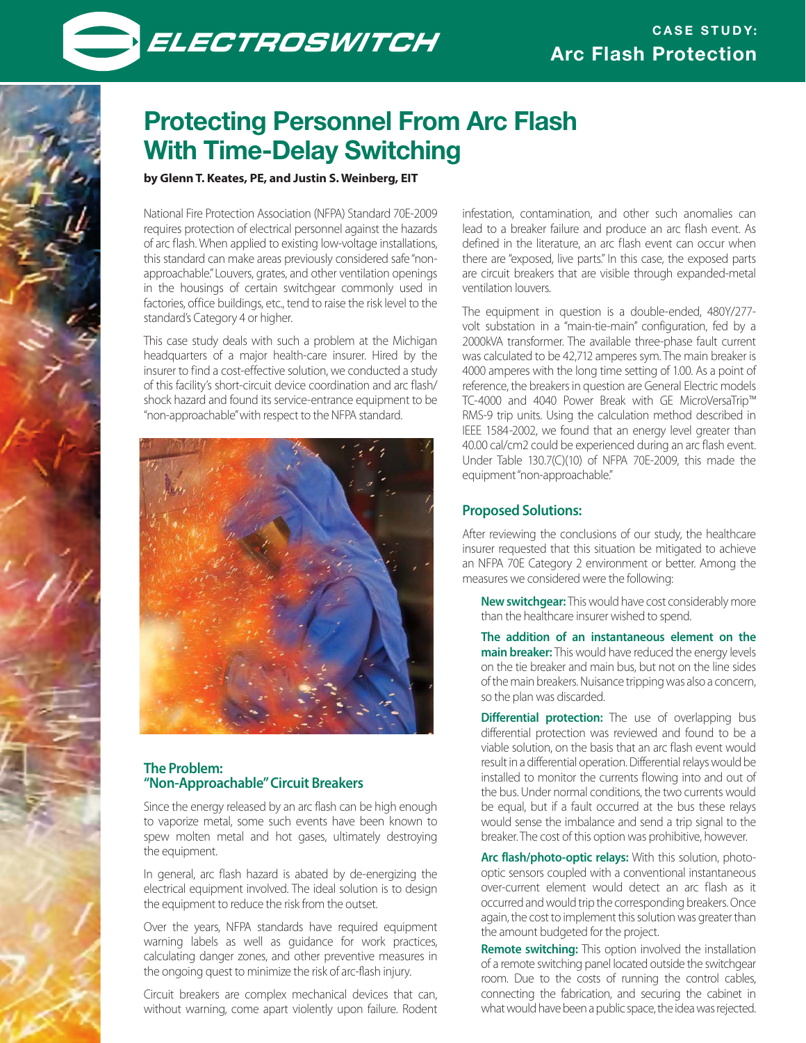



# **Protecting Personnel From Arc Flash With Time-Delay Switching**

## **by Glenn T. Keates, PE, and Justin S. Weinberg, EIT**

National Fire Protection Association (NFPA) Standard 70E-2009 requires protection of electrical personnel against the hazards of arc flash. When applied to existing low-voltage installations, this standard can make areas previously considered safe "nonapproachable." Louvers, grates, and other ventilation openings in the housings of certain switchgear commonly used in factories, office buildings, etc., tend to raise the risk level to the standard's Category 4 or higher.

This case study deals with such a problem at the Michigan headquarters of a major health-care insurer. Hired by the insurer to find a cost-effective solution, we conducted a study of this facility's short-circuit device coordination and arc flash/ shock hazard and found its service-entrance equipment to be "non-approachable" with respect to the NFPA standard.



#### **The Problem: "Non-Approachable" Circuit Breakers**

Since the energy released by an arc flash can be high enough to vaporize metal, some such events have been known to spew molten metal and hot gases, ultimately destroying the equipment.

In general, arc flash hazard is abated by de-energizing the electrical equipment involved. The ideal solution is to design the equipment to reduce the risk from the outset.

Over the years, NFPA standards have required equipment warning labels as well as guidance for work practices, calculating danger zones, and other preventive measures in the ongoing quest to minimize the risk of arc-flash injury.

Circuit breakers are complex mechanical devices that can, without warning, come apart violently upon failure. Rodent

infestation, contamination, and other such anomalies can lead to a breaker failure and produce an arc flash event. As defined in the literature, an arc flash event can occur when there are "exposed, live parts." In this case, the exposed parts are circuit breakers that are visible through expanded-metal ventilation louvers.

The equipment in question is a double-ended, 480Y/277 volt substation in a "main-tie-main" configuration, fed by a 2000kVA transformer. The available three-phase fault current was calculated to be 42,712 amperes sym. The main breaker is 4000 amperes with the long time setting of 1.00. As a point of reference, the breakers in question are General Electric models TC-4000 and 4040 Power Break with GE MicroVersaTrip™ RMS-9 trip units. Using the calculation method described in IEEE 1584-2002, we found that an energy level greater than 40.00 cal/cm2 could be experienced during an arc flash event. Under Table 130.7(C)(10) of NFPA 70E-2009, this made the equipment "non-approachable."

#### **Proposed Solutions:**

After reviewing the conclusions of our study, the healthcare insurer requested that this situation be mitigated to achieve an NFPA 70E Category 2 environment or better. Among the measures we considered were the following:

 **New switchgear:** This would have cost considerably more than the healthcare insurer wished to spend.

 **The addition of an instantaneous element on the main breaker:** This would have reduced the energy levels on the tie breaker and main bus, but not on the line sides of the main breakers. Nuisance tripping was also a concern, so the plan was discarded.

**Differential protection:** The use of overlapping bus differential protection was reviewed and found to be a viable solution, on the basis that an arc flash event would result in a differential operation. Differential relays would be installed to monitor the currents flowing into and out of the bus. Under normal conditions, the two currents would be equal, but if a fault occurred at the bus these relays would sense the imbalance and send a trip signal to the breaker. The cost of this option was prohibitive, however.

 **Arc flash/photo-optic relays:** With this solution, photooptic sensors coupled with a conventional instantaneous over-current element would detect an arc flash as it occurred and would trip the corresponding breakers. Once again, the cost to implement this solution was greater than the amount budgeted for the project.

 **Remote switching:** This option involved the installation of a remote switching panel located outside the switchgear room. Due to the costs of running the control cables, connecting the fabrication, and securing the cabinet in what would have been a public space, the idea was rejected.